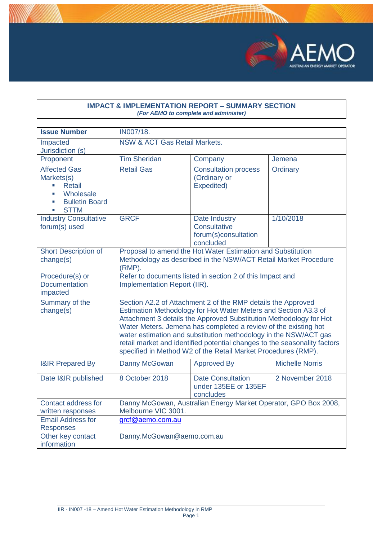

## **IMPACT & IMPLEMENTATION REPORT – SUMMARY SECTION** *(For AEMO to complete and administer)*

| <b>Issue Number</b>                                                                                                                                 | IN007/18.                                                                                                                                                                                                                                                                                                                                                                                                                                                                                  |                                                                                                                                |                        |  |  |  |  |
|-----------------------------------------------------------------------------------------------------------------------------------------------------|--------------------------------------------------------------------------------------------------------------------------------------------------------------------------------------------------------------------------------------------------------------------------------------------------------------------------------------------------------------------------------------------------------------------------------------------------------------------------------------------|--------------------------------------------------------------------------------------------------------------------------------|------------------------|--|--|--|--|
| Impacted<br>Jurisdiction (s)                                                                                                                        | <b>NSW &amp; ACT Gas Retail Markets.</b>                                                                                                                                                                                                                                                                                                                                                                                                                                                   |                                                                                                                                |                        |  |  |  |  |
| Proponent                                                                                                                                           | <b>Tim Sheridan</b>                                                                                                                                                                                                                                                                                                                                                                                                                                                                        | Company                                                                                                                        | Jemena                 |  |  |  |  |
| <b>Affected Gas</b><br>Markets(s)<br><b>Retail</b><br>a.<br>Wholesale<br>٠<br><b>Bulletin Board</b><br>п<br><b>STTM</b><br>$\overline{\phantom{a}}$ | <b>Retail Gas</b>                                                                                                                                                                                                                                                                                                                                                                                                                                                                          | <b>Consultation process</b><br>(Ordinary or<br>Expedited)                                                                      | Ordinary               |  |  |  |  |
| <b>Industry Consultative</b><br>forum(s) used                                                                                                       | <b>GRCF</b>                                                                                                                                                                                                                                                                                                                                                                                                                                                                                | Date Industry<br>Consultative<br>forum(s)consultation<br>concluded                                                             | 1/10/2018              |  |  |  |  |
| <b>Short Description of</b><br>change(s)                                                                                                            | $(RMP)$ .                                                                                                                                                                                                                                                                                                                                                                                                                                                                                  | Proposal to amend the Hot Water Estimation and Substitution<br>Methodology as described in the NSW/ACT Retail Market Procedure |                        |  |  |  |  |
| Procedure(s) or<br><b>Documentation</b><br>impacted                                                                                                 | Implementation Report (IIR).                                                                                                                                                                                                                                                                                                                                                                                                                                                               | Refer to documents listed in section 2 of this Impact and                                                                      |                        |  |  |  |  |
| Summary of the<br>change(s)                                                                                                                         | Section A2.2 of Attachment 2 of the RMP details the Approved<br>Estimation Methodology for Hot Water Meters and Section A3.3 of<br>Attachment 3 details the Approved Substitution Methodology for Hot<br>Water Meters. Jemena has completed a review of the existing hot<br>water estimation and substitution methodology in the NSW/ACT gas<br>retail market and identified potential changes to the seasonality factors<br>specified in Method W2 of the Retail Market Procedures (RMP). |                                                                                                                                |                        |  |  |  |  |
| <b>I&amp;IR Prepared By</b>                                                                                                                         | Danny McGowan                                                                                                                                                                                                                                                                                                                                                                                                                                                                              | <b>Approved By</b>                                                                                                             | <b>Michelle Norris</b> |  |  |  |  |
| Date I&IR published                                                                                                                                 | 8 October 2018                                                                                                                                                                                                                                                                                                                                                                                                                                                                             | <b>Date Consultation</b><br>2 November 2018<br>under 135EE or 135EF<br>concludes                                               |                        |  |  |  |  |
| Contact address for<br>written responses                                                                                                            | Melbourne VIC 3001.                                                                                                                                                                                                                                                                                                                                                                                                                                                                        | Danny McGowan, Australian Energy Market Operator, GPO Box 2008,                                                                |                        |  |  |  |  |
| <b>Email Address for</b><br><b>Responses</b>                                                                                                        | grcf@aemo.com.au                                                                                                                                                                                                                                                                                                                                                                                                                                                                           |                                                                                                                                |                        |  |  |  |  |
| Other key contact<br>information                                                                                                                    | Danny.McGowan@aemo.com.au                                                                                                                                                                                                                                                                                                                                                                                                                                                                  |                                                                                                                                |                        |  |  |  |  |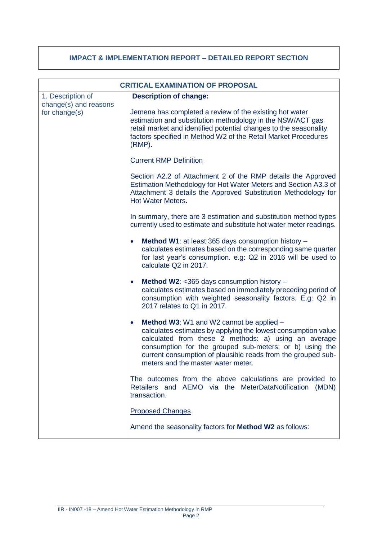## **IMPACT & IMPLEMENTATION REPORT – DETAILED REPORT SECTION**

|                                            | <b>CRITICAL EXAMINATION OF PROPOSAL</b>                                                                                                                                                                                                                                                                                                         |
|--------------------------------------------|-------------------------------------------------------------------------------------------------------------------------------------------------------------------------------------------------------------------------------------------------------------------------------------------------------------------------------------------------|
| 1. Description of<br>change(s) and reasons | <b>Description of change:</b>                                                                                                                                                                                                                                                                                                                   |
| for change(s)                              | Jemena has completed a review of the existing hot water<br>estimation and substitution methodology in the NSW/ACT gas<br>retail market and identified potential changes to the seasonality<br>factors specified in Method W2 of the Retail Market Procedures<br>$(RMP)$ .                                                                       |
|                                            | <b>Current RMP Definition</b>                                                                                                                                                                                                                                                                                                                   |
|                                            | Section A2.2 of Attachment 2 of the RMP details the Approved<br>Estimation Methodology for Hot Water Meters and Section A3.3 of<br>Attachment 3 details the Approved Substitution Methodology for<br><b>Hot Water Meters.</b>                                                                                                                   |
|                                            | In summary, there are 3 estimation and substitution method types<br>currently used to estimate and substitute hot water meter readings.                                                                                                                                                                                                         |
|                                            | Method W1: at least 365 days consumption history -<br>$\bullet$<br>calculates estimates based on the corresponding same quarter<br>for last year's consumption. e.g: Q2 in 2016 will be used to<br>calculate Q2 in 2017.                                                                                                                        |
|                                            | Method W2: <365 days consumption history -<br>$\bullet$<br>calculates estimates based on immediately preceding period of<br>consumption with weighted seasonality factors. E.g: Q2 in<br>2017 relates to Q1 in 2017.                                                                                                                            |
|                                            | Method W3: W1 and W2 cannot be applied -<br>$\bullet$<br>calculates estimates by applying the lowest consumption value<br>calculated from these 2 methods: a) using an average<br>consumption for the grouped sub-meters; or b) using the<br>current consumption of plausible reads from the grouped sub-<br>meters and the master water meter. |
|                                            | The outcomes from the above calculations are provided to<br>Retailers and AEMO via the MeterDataNotification (MDN)<br>transaction.                                                                                                                                                                                                              |
|                                            | <b>Proposed Changes</b>                                                                                                                                                                                                                                                                                                                         |
|                                            | Amend the seasonality factors for <b>Method W2</b> as follows:                                                                                                                                                                                                                                                                                  |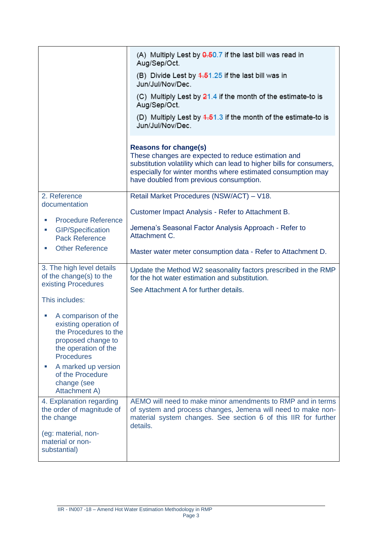|                                                                                                                                          | (A) Multiply Lest by 0.50.7 if the last bill was read in<br>Aug/Sep/Oct.                                                                                                                                                                                                |
|------------------------------------------------------------------------------------------------------------------------------------------|-------------------------------------------------------------------------------------------------------------------------------------------------------------------------------------------------------------------------------------------------------------------------|
|                                                                                                                                          | (B) Divide Lest by 4.51.25 if the last bill was in<br>Jun/Jul/Nov/Dec.                                                                                                                                                                                                  |
|                                                                                                                                          | (C) Multiply Lest by $21.4$ if the month of the estimate-to is<br>Aug/Sep/Oct.                                                                                                                                                                                          |
|                                                                                                                                          | (D) Multiply Lest by $4.51.3$ if the month of the estimate-to is<br>Jun/Jul/Nov/Dec.                                                                                                                                                                                    |
|                                                                                                                                          | <b>Reasons for change(s)</b><br>These changes are expected to reduce estimation and<br>substitution volatility which can lead to higher bills for consumers,<br>especially for winter months where estimated consumption may<br>have doubled from previous consumption. |
| 2. Reference<br>documentation                                                                                                            | Retail Market Procedures (NSW/ACT) - V18.                                                                                                                                                                                                                               |
| <b>Procedure Reference</b>                                                                                                               | Customer Impact Analysis - Refer to Attachment B.                                                                                                                                                                                                                       |
| <b>GIP/Specification</b><br>ш<br><b>Pack Reference</b>                                                                                   | Jemena's Seasonal Factor Analysis Approach - Refer to<br>Attachment C.                                                                                                                                                                                                  |
| <b>Other Reference</b><br>×.                                                                                                             | Master water meter consumption data - Refer to Attachment D.                                                                                                                                                                                                            |
| 3. The high level details<br>of the change(s) to the<br>existing Procedures                                                              | Update the Method W2 seasonality factors prescribed in the RMP<br>for the hot water estimation and substitution.                                                                                                                                                        |
|                                                                                                                                          | See Attachment A for further details.                                                                                                                                                                                                                                   |
| This includes:                                                                                                                           |                                                                                                                                                                                                                                                                         |
| A comparison of the<br>existing operation of<br>the Procedures to the<br>proposed change to<br>the operation of the<br><b>Procedures</b> |                                                                                                                                                                                                                                                                         |
| A marked up version<br>of the Procedure<br>change (see<br>Attachment A)                                                                  |                                                                                                                                                                                                                                                                         |
| 4. Explanation regarding<br>the order of magnitude of<br>the change                                                                      | AEMO will need to make minor amendments to RMP and in terms<br>of system and process changes, Jemena will need to make non-<br>material system changes. See section 6 of this IIR for further<br>details.                                                               |
| (eg: material, non-<br>material or non-<br>substantial)                                                                                  |                                                                                                                                                                                                                                                                         |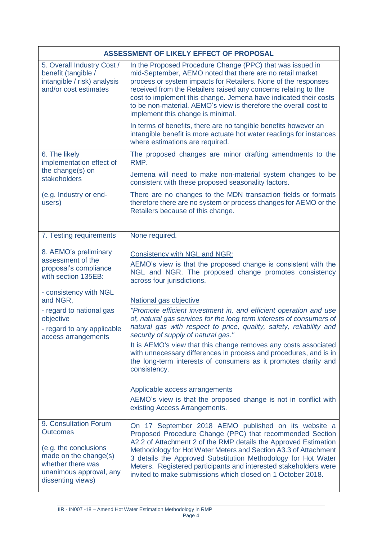|                                                                                                                                                                 | ASSESSMENT OF LIKELY EFFECT OF PROPOSAL                                                                                                                                                                                                                                                                                                                                                                                                                    |
|-----------------------------------------------------------------------------------------------------------------------------------------------------------------|------------------------------------------------------------------------------------------------------------------------------------------------------------------------------------------------------------------------------------------------------------------------------------------------------------------------------------------------------------------------------------------------------------------------------------------------------------|
| 5. Overall Industry Cost /<br>benefit (tangible /<br>intangible / risk) analysis<br>and/or cost estimates                                                       | In the Proposed Procedure Change (PPC) that was issued in<br>mid-September, AEMO noted that there are no retail market<br>process or system impacts for Retailers. None of the responses<br>received from the Retailers raised any concerns relating to the<br>cost to implement this change. Jemena have indicated their costs<br>to be non-material. AEMO's view is therefore the overall cost to<br>implement this change is minimal.                   |
|                                                                                                                                                                 | In terms of benefits, there are no tangible benefits however an<br>intangible benefit is more actuate hot water readings for instances<br>where estimations are required.                                                                                                                                                                                                                                                                                  |
| 6. The likely<br>implementation effect of                                                                                                                       | The proposed changes are minor drafting amendments to the<br>RMP.                                                                                                                                                                                                                                                                                                                                                                                          |
| the change(s) on<br>stakeholders                                                                                                                                | Jemena will need to make non-material system changes to be<br>consistent with these proposed seasonality factors.                                                                                                                                                                                                                                                                                                                                          |
| (e.g. Industry or end-<br>users)                                                                                                                                | There are no changes to the MDN transaction fields or formats<br>therefore there are no system or process changes for AEMO or the<br>Retailers because of this change.                                                                                                                                                                                                                                                                                     |
| 7. Testing requirements                                                                                                                                         | None required.                                                                                                                                                                                                                                                                                                                                                                                                                                             |
| 8. AEMO's preliminary<br>assessment of the<br>proposal's compliance<br>with section 135EB:                                                                      | Consistency with NGL and NGR:<br>AEMO's view is that the proposed change is consistent with the<br>NGL and NGR. The proposed change promotes consistency<br>across four jurisdictions.                                                                                                                                                                                                                                                                     |
| - consistency with NGL<br>and NGR,                                                                                                                              | National gas objective                                                                                                                                                                                                                                                                                                                                                                                                                                     |
| - regard to national gas<br>objective<br>- regard to any applicable<br>access arrangements                                                                      | "Promote efficient investment in, and efficient operation and use<br>of, natural gas services for the long term interests of consumers of<br>natural gas with respect to price, quality, safety, reliability and<br>security of supply of natural gas."                                                                                                                                                                                                    |
|                                                                                                                                                                 | It is AEMO's view that this change removes any costs associated<br>with unnecessary differences in process and procedures, and is in<br>the long-term interests of consumers as it promotes clarity and<br>consistency.                                                                                                                                                                                                                                    |
|                                                                                                                                                                 | Applicable access arrangements<br>AEMO's view is that the proposed change is not in conflict with<br>existing Access Arrangements.                                                                                                                                                                                                                                                                                                                         |
| 9. Consultation Forum<br><b>Outcomes</b><br>(e.g. the conclusions<br>made on the change(s)<br>whether there was<br>unanimous approval, any<br>dissenting views) | On 17 September 2018 AEMO published on its website a<br>Proposed Procedure Change (PPC) that recommended Section<br>A2.2 of Attachment 2 of the RMP details the Approved Estimation<br>Methodology for Hot Water Meters and Section A3.3 of Attachment<br>3 details the Approved Substitution Methodology for Hot Water<br>Meters. Registered participants and interested stakeholders were<br>invited to make submissions which closed on 1 October 2018. |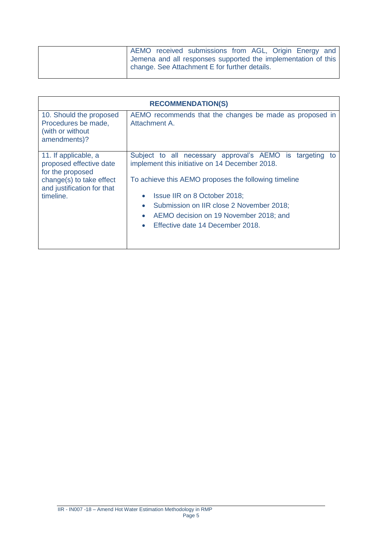|  | AEMO received submissions from AGL, Origin Energy and                                                          |  |  |  |
|--|----------------------------------------------------------------------------------------------------------------|--|--|--|
|  | Jemena and all responses supported the implementation of this<br>change. See Attachment E for further details. |  |  |  |
|  |                                                                                                                |  |  |  |

| <b>RECOMMENDATION(S)</b>                                                                                                                   |                                                                                                                                                                                                                                                                                                                                                              |  |  |  |  |  |  |
|--------------------------------------------------------------------------------------------------------------------------------------------|--------------------------------------------------------------------------------------------------------------------------------------------------------------------------------------------------------------------------------------------------------------------------------------------------------------------------------------------------------------|--|--|--|--|--|--|
| 10. Should the proposed<br>Procedures be made,<br>(with or without<br>amendments)?                                                         | AEMO recommends that the changes be made as proposed in<br>Attachment A.                                                                                                                                                                                                                                                                                     |  |  |  |  |  |  |
| 11. If applicable, a<br>proposed effective date<br>for the proposed<br>change(s) to take effect<br>and justification for that<br>timeline. | Subject to all necessary approval's AEMO is<br>targeting<br>to<br>implement this initiative on 14 December 2018.<br>To achieve this AEMO proposes the following timeline<br>Issue IIR on 8 October 2018;<br>$\bullet$<br>Submission on IIR close 2 November 2018;<br>AEMO decision on 19 November 2018; and<br>Effective date 14 December 2018.<br>$\bullet$ |  |  |  |  |  |  |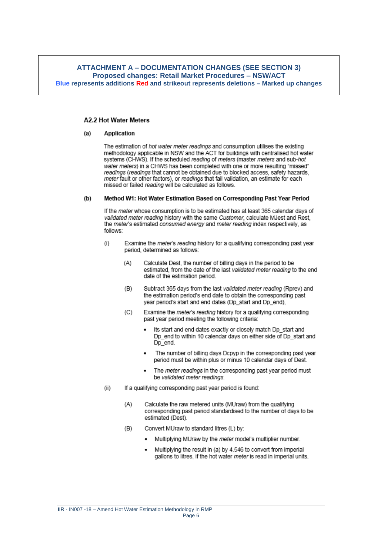### **ATTACHMENT A - DOCUMENTATION CHANGES (SEE SECTION 3) Proposed changes: Retail Market Procedures - NSW/ACT** Blue represents additions Red and strikeout represents deletions - Marked up changes

### **A2.2 Hot Water Meters**

#### $(a)$ **Application**

The estimation of hot water meter readings and consumption utilises the existing methodology applicable in NSW and the ACT for buildings with centralised hot water systems (CHWS). If the scheduled reading of meters (master meters and sub-hot water meters) in a CHWS has been completed with one or more resulting "missed" readings (readings that cannot be obtained due to blocked access, safety hazards, meter fault or other factors), or readings that fail validation, an estimate for each missed or failed reading will be calculated as follows.

#### $(b)$ Method W1: Hot Water Estimation Based on Corresponding Past Year Period

If the meter whose consumption is to be estimated has at least 365 calendar days of validated meter reading history with the same Customer, calculate MJest and Rest. the meter's estimated consumed energy and meter reading index respectively, as follows:

- $(i)$ Examine the meter's reading history for a qualifying corresponding past year period, determined as follows:
	- $(A)$ Calculate Dest, the number of billing days in the period to be estimated, from the date of the last validated meter reading to the end date of the estimation period.
	- $(B)$ Subtract 365 days from the last validated meter reading (Rprev) and the estimation period's end date to obtain the corresponding past year period's start and end dates (Dp\_start and Dp\_end),
	- Examine the meter's reading history for a qualifying corresponding  $(C)$ past year period meeting the following criteria:
		- Its start and end dates exactly or closely match Dp\_start and Dp end to within 10 calendar days on either side of Dp start and Do end.
		- The number of billing days Dcpyp in the corresponding past year period must be within plus or minus 10 calendar days of Dest.
		- The meter readings in the corresponding past year period must be validated meter readings
- If a qualifying corresponding past year period is found:  $(ii)$ 
	- $(A)$ Calculate the raw metered units (MUraw) from the qualifying corresponding past period standardised to the number of days to be estimated (Dest).
	- $(B)$ Convert MUraw to standard litres (L) by:
		- Multiplying MUraw by the meter model's multiplier number.
		- Multiplying the result in (a) by 4.546 to convert from imperial gallons to litres, if the hot water meter is read in imperial units.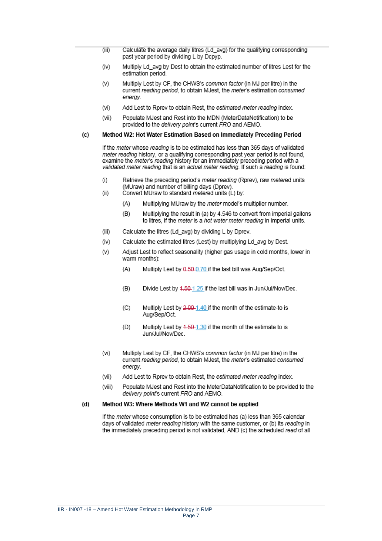- Calculate the average daily litres (Ld\_avg) for the qualifying corresponding  $(iii)$ past year period by dividing L by Dcpyp.
- $(iv)$ Multiply Ld\_avg by Dest to obtain the estimated number of litres Lest for the estimation period.
- Multiply Lest by CF, the CHWS's common factor (in MJ per litre) in the  $(v)$ current reading period, to obtain MJest, the meter's estimation consumed enerav.
- $(vi)$ Add Lest to Rprev to obtain Rest, the estimated meter reading index.
- $(vii)$ Populate MJest and Rest into the MDN (MeterDataNotification) to be provided to the *delivery point's* current FRO and AEMO.

#### Method W2: Hot Water Estimation Based on Immediately Preceding Period  $(c)$

If the meter whose reading is to be estimated has less than 365 days of validated meter reading history, or a qualifying corresponding past year period is not found, examine the *meter's* reading history for an immediately preceding period with a validated meter reading that is an actual meter reading. If such a reading is found:

- Retrieve the preceding period's meter reading (Rprev), raw metered units  $(i)$ (MUraw) and number of billing days (Dprev).
- Convert MUraw to standard metered units (L) by:  $(ii)$ 
	- $(A)$ Multiplying MUraw by the meter model's multiplier number.
	- $(B)$ Multiplying the result in (a) by 4.546 to convert from imperial gallons to litres, if the meter is a hot water meter reading in imperial units.
- $(iii)$ Calculate the litres (Ld\_avg) by dividing L by Dprev.
- Calculate the estimated litres (Lest) by multiplying Ld avg by Dest.  $(iv)$
- Adjust Lest to reflect seasonality (higher gas usage in cold months, lower in  $(V)$ warm months):
	- $(A)$ Multiply Lest by 0.50-0.70 if the last bill was Aug/Sep/Oct.
	- $(B)$ Divide Lest by 4.50-1.25 if the last bill was in Jun/Jul/Nov/Dec.
	- $(C)$ Multiply Lest by 2.00-1.40 if the month of the estimate-to is Aug/Sep/Oct.
	- Multiply Lest by 4.50-1.30 if the month of the estimate to is  $(D)$ Jun/Jul/Nov/Dec.
- $(vi)$ Multiply Lest by CF, the CHWS's common factor (in MJ per litre) in the current reading period, to obtain MJest, the meter's estimated consumed enerav.
- $(vii)$ Add Lest to Rorey to obtain Rest, the estimated meter reading index.
- (viii) Populate MJest and Rest into the MeterDataNotification to be provided to the delivery point's current FRO and AEMO.

#### Method W3: Where Methods W1 and W2 cannot be applied  $(d)$

If the *meter* whose consumption is to be estimated has (a) less than 365 calendar days of validated meter reading history with the same customer, or (b) its reading in the immediately preceding period is not validated, AND (c) the scheduled read of all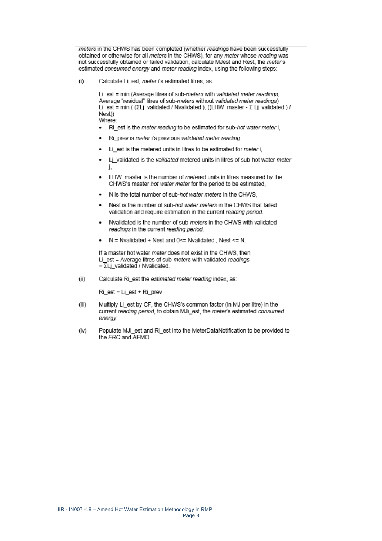meters in the CHWS has been completed (whether readings have been successfully obtained or otherwise for all meters in the CHWS), for any meter whose reading was not successfully obtained or failed validation, calculate MJest and Rest, the meter's estimated consumed energy and meter reading index, using the following steps:

Calculate Li\_est, meter i's estimated litres, as:  $(i)$ 

> Li est = min (Average litres of sub-meters with validated meter readings, Average "residual" litres of sub-meters without validated meter readings) Li\_est = min ( (ΣLj\_validated / Nvalidated ), ((LHW\_master - Σ Lj\_validated ) / Nest)) Where:

- Ri\_est is the meter reading to be estimated for sub-hot water meter i,  $\bullet$
- Ri prev is meter i's previous validated meter reading.  $\bullet$
- Li\_est is the metered units in litres to be estimated for meter i,  $\bullet$
- Li validated is the validated metered units in litres of sub-hot water meter  $\bullet$ L
- LHW master is the number of metered units in litres measured by the ٠ CHWS's master hot water meter for the period to be estimated.
- N is the total number of sub-hot water meters in the CHWS.
- Nest is the number of sub-hot water meters in the CHWS that failed validation and require estimation in the current reading period.
- Nvalidated is the number of sub-meters in the CHWS with validated  $\bullet$ readings in the current reading period.
- $N =$  Nvalidated + Nest and 0<= Nvalidated, Nest <= N.  $\bullet$

If a master hot water meter does not exist in the CHWS, then Li est = Average litres of sub-meters with validated readings  $=\overline{\Sigma}$ Lj validated / Nvalidated.

 $(ii)$ Calculate Ri\_est the estimated meter reading index, as:

Ri est = Li est + Ri prev

- $(iii)$ Multiply Li\_est by CF, the CHWS's common factor (in MJ per litre) in the current reading period, to obtain MJi\_est, the meter's estimated consumed energy.
- Populate MJi\_est and Ri\_est into the MeterDataNotification to be provided to (iv) the FRO and AEMO.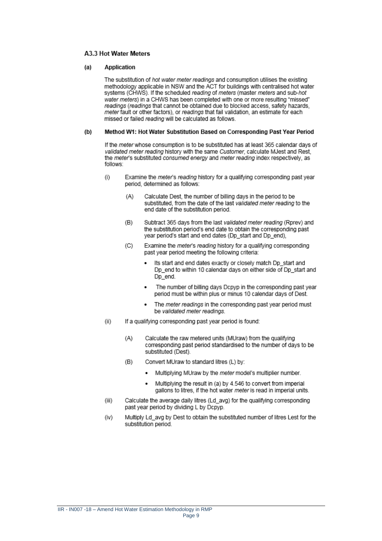### A3.3 Hot Water Meters

#### $(a)$ **Application**

The substitution of hot water meter readings and consumption utilises the existing methodology applicable in NSW and the ACT for buildings with centralised hot water systems (CHWS). If the scheduled reading of meters (master meters and sub-hot water meters) in a CHWS has been completed with one or more resulting "missed" readings (readings that cannot be obtained due to blocked access, safety hazards, meter fault or other factors), or readings that fail validation, an estimate for each missed or failed reading will be calculated as follows.

#### Method W1: Hot Water Substitution Based on Corresponding Past Year Period  $(b)$

If the meter whose consumption is to be substituted has at least 365 calendar days of validated meter reading history with the same Customer, calculate MJest and Rest. the meter's substituted consumed energy and meter reading index respectively, as follows:

- $(i)$ Examine the meter's reading history for a qualifying corresponding past year period, determined as follows:
	- $(A)$ Calculate Dest, the number of billing days in the period to be substituted, from the date of the last validated meter reading to the end date of the substitution period.
	- Subtract 365 days from the last validated meter reading (Rprev) and  $(B)$ the substitution period's end date to obtain the corresponding past year period's start and end dates (Dp\_start and Dp\_end),
	- Examine the meter's reading history for a qualifying corresponding  $(C)$ past year period meeting the following criteria:
		- Its start and end dates exactly or closely match Dp\_start and Dp\_end to within 10 calendar days on either side of Dp\_start and Dp\_end.
		- The number of billing days Dcpyp in the corresponding past year period must be within plus or minus 10 calendar days of Dest.
		- The meter readings in the corresponding past year period must be validated meter readings.
- $(ii)$ If a qualifying corresponding past year period is found:
	- $(A)$ Calculate the raw metered units (MUraw) from the qualifying corresponding past period standardised to the number of days to be substituted (Dest).
	- Convert MUraw to standard litres (L) by:  $(B)$ 
		- Multiplying MUraw by the meter model's multiplier number.
		- Multiplying the result in (a) by 4.546 to convert from imperial gallons to litres, if the hot water meter is read in imperial units.
- $(iii)$ Calculate the average daily litres (Ld\_avg) for the qualifying corresponding past year period by dividing L by Dcpyp.
- Multiply Ld\_avg by Dest to obtain the substituted number of litres Lest for the (iv) substitution period.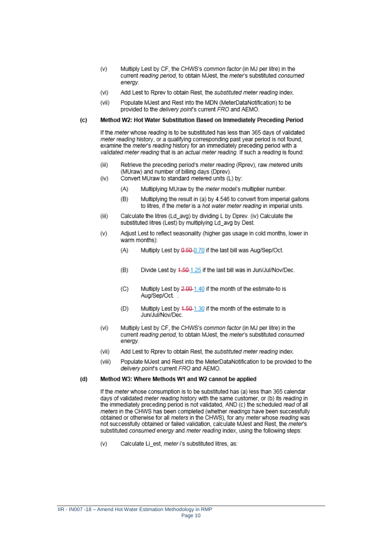- $(v)$ Multiply Lest by CF, the CHWS's common factor (in MJ per litre) in the current reading period, to obtain MJest, the meter's substituted consumed enerav.
- Add Lest to Rorey to obtain Rest, the substituted meter reading index.  $(vi)$
- Populate MJest and Rest into the MDN (MeterDataNotification) to be (vii) provided to the delivery point's current FRO and AEMO.

#### $(c)$ Method W2: Hot Water Substitution Based on Immediately Preceding Period

If the meter whose reading is to be substituted has less than 365 days of validated meter reading history, or a qualifying corresponding past year period is not found. examine the *meter's reading* history for an immediately preceding period with a validated meter reading that is an actual meter reading. If such a reading is found:

- $(iii)$ Retrieve the preceding period's meter reading (Rprev), raw metered units (MUraw) and number of billing days (Dprev).  $(iv)$ 
	- Convert MUraw to standard metered units (L) by:
		- $(A)$ Multiplying MUraw by the meter model's multiplier number.
		- $(B)$ Multiplying the result in (a) by 4.546 to convert from imperial gallons to litres, if the meter is a hot water meter reading in imperial units.
- $(iii)$ Calculate the litres (Ld avg) by dividing L by Dprey. (iv) Calculate the substituted litres (Lest) by multiplying Ld avg by Dest.
- $(v)$ Adjust Lest to reflect seasonality (higher gas usage in cold months, lower in warm months):
	- $(A)$ Multiply Lest by 0.50-0.70 if the last bill was Aug/Sep/Oct.
	- $(B)$ Divide Lest by 4.50-1.25 if the last bill was in Jun/Jul/Nov/Dec.
	- $(C)$ Multiply Lest by 2,00-1,40 if the month of the estimate-to is Aug/Sep/Oct.
	- Multiply Lest by 4.50-1.30 if the month of the estimate to is  $(D)$ Jun/Jul/Nov/Dec
- $(vi)$ Multiply Lest by CF, the CHWS's common factor (in MJ per litre) in the current reading period, to obtain MJest, the meter's substituted consumed enerav
- $(vii)$ Add Lest to Rprev to obtain Rest, the substituted meter reading index.
- (viii) Populate MJest and Rest into the MeterDataNotification to be provided to the delivery point's current FRO and AEMO.

#### $(d)$ Method W3: Where Methods W1 and W2 cannot be applied

If the meter whose consumption is to be substituted has (a) less than 365 calendar days of validated meter reading history with the same customer, or (b) its reading in the immediately preceding period is not validated. AND (c) the scheduled read of all meters in the CHWS has been completed (whether readings have been successfully obtained or otherwise for all meters in the CHWS), for any meter whose reading was not successfully obtained or failed validation, calculate MJest and Rest, the meter's substituted consumed energy and meter reading index, using the following steps:

 $(v)$ Calculate Li\_est, meter i's substituted litres, as: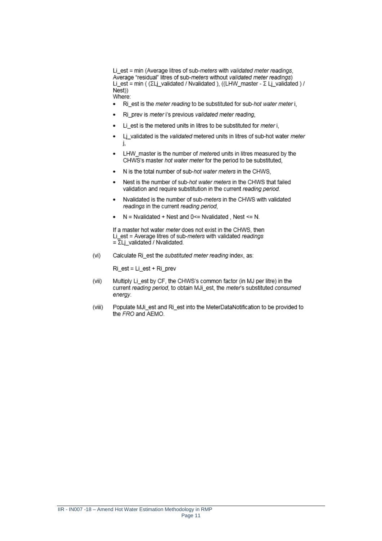Li est = min (Average litres of sub-meters with validated meter readings, Average "residual" litres of sub-meters without validated meter readings) Li\_est = min ( (ΣLj\_validated / Nvalidated ), ((LHW\_master - Σ Lj\_validated ) /  $Nest$ ) Where:

- Ri est is the meter reading to be substituted for sub-hot water meter i,  $\bullet$
- Ri\_prev is meter i's previous validated meter reading,
- Li\_est is the metered units in litres to be substituted for meter i,
- Lj\_validated is the validated metered units in litres of sub-hot water meter
- LHW master is the number of metered units in litres measured by the CHWS's master hot water meter for the period to be substituted.
- N is the total number of sub-hot water meters in the CHWS,
- Nest is the number of sub-hot water meters in the CHWS that failed validation and require substitution in the current reading period.
- Nvalidated is the number of sub-meters in the CHWS with validated  $\bullet$ readings in the current reading period,
- $N =$  Nvalidated + Nest and 0<= Nvalidated . Nest <= N.

If a master hot water meter does not exist in the CHWS, then Li est = Average litres of sub-meters with validated readings  $=\overline{\Sigma}$ Lj\_validated / Nvalidated.

 $(vi)$ Calculate Ri\_est the substituted meter reading index, as:

 $Ri$  est = Li est + Ri prev

- (vii) Multiply Li\_est by CF, the CHWS's common factor (in MJ per litre) in the current reading period, to obtain MJi\_est, the meter's substituted consumed enerav.
- (viii) Populate MJi est and Ri est into the MeterDataNotification to be provided to the FRO and AEMO.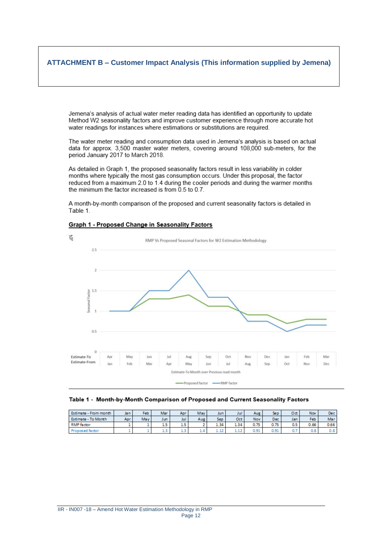## **ATTACHMENT B – Customer Impact Analysis (This information supplied by Jemena)**

Jemena's analysis of actual water meter reading data has identified an opportunity to update Method W2 seasonality factors and improve customer experience through more accurate hot water readings for instances where estimations or substitutions are required.

The water meter reading and consumption data used in Jemena's analysis is based on actual data for approx. 3,500 master water meters, covering around 108,000 sub-meters, for the period January 2017 to March 2018.

As detailed in Graph 1, the proposed seasonality factors result in less variability in colder months where typically the most gas consumption occurs. Under this proposal, the factor reduced from a maximum 2.0 to 1.4 during the cooler periods and during the warmer months the minimum the factor increased is from  $0.5$  to  $0.7$ .

A month-by-month comparison of the proposed and current seasonality factors is detailed in Table 1.

### Graph 1 - Proposed Change in Seasonality Factors



### Table 1 - Month-by-Month Comparison of Proposed and Current Seasonality Factors

| Estimate - From month | Ja n | Feb | Mar                             | Apr   | May    | Jun  | Jul  | Aug  | Sep  | Oct | <b>Nov</b> | Dec  |
|-----------------------|------|-----|---------------------------------|-------|--------|------|------|------|------|-----|------------|------|
| Estimate - To Month   | Apr  | May | Jun                             | Jul   | Aug    | Sep  | Oct  | Nov  | Dec. | Jan | Feb.       | Mar  |
| <b>RMP</b> factor     |      |     | $\overline{\phantom{a}}$<br>1.5 | с<br> |        | 1.34 | 4.34 | 0.75 | 0.75 | 0.5 | 0.66       | 0.66 |
| roposed factor        |      |     | ---                             | سمد   | $\sim$ | ---- | ---  | 0.91 | 0.91 | u.  | 0.8        | 0.8  |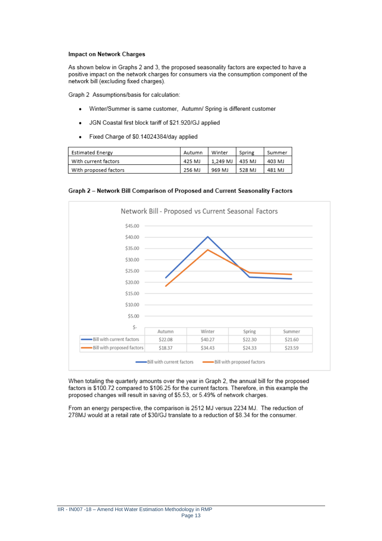### **Impact on Network Charges**

As shown below in Graphs 2 and 3, the proposed seasonality factors are expected to have a positive impact on the network charges for consumers via the consumption component of the network bill (excluding fixed charges).

Graph 2 Assumptions/basis for calculation:

- Winter/Summer is same customer, Autumn/ Spring is different customer ٠
- JGN Coastal first block tariff of \$21.920/GJ applied
- Fixed Charge of \$0.14024384/day applied

| Estimated Energy      | Autumn | Winter            | Spring | Summer |
|-----------------------|--------|-------------------|--------|--------|
| With current factors  | 425 MJ | 1.249 MJ   435 MJ |        | 403 MJ |
| With proposed factors | 256 MJ | 969 MJ            | 528 MJ | 481 MJ |

Graph 2 - Network Bill Comparison of Proposed and Current Seasonality Factors



When totaling the quarterly amounts over the year in Graph 2, the annual bill for the proposed factors is \$100.72 compared to \$106.25 for the current factors. Therefore, in this example the proposed changes will result in saving of \$5.53, or 5.49% of network charges.

From an energy perspective, the comparison is 2512 MJ versus 2234 MJ. The reduction of 278MJ would at a retail rate of \$30/GJ translate to a reduction of \$8.34 for the consumer.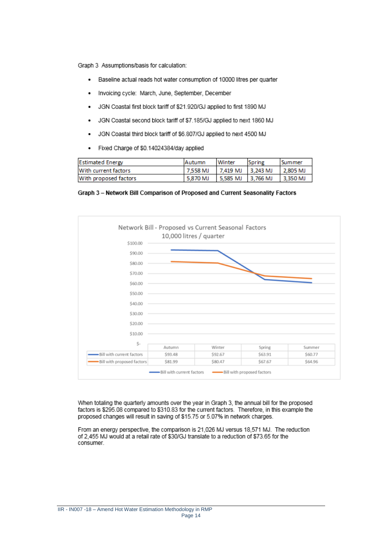Graph 3 Assumptions/basis for calculation:

- Baseline actual reads hot water consumption of 10000 litres per quarter  $\bullet$
- Invoicing cycle: March, June, September, December
- JGN Coastal first block tariff of \$21.920/GJ applied to first 1890 MJ  $\bullet$
- JGN Coastal second block tariff of \$7.185/GJ applied to next 1860 MJ  $\bullet$
- JGN Coastal third block tariff of \$6.807/GJ applied to next 4500 MJ  $\bullet$
- Fixed Charge of \$0.14024384/day applied ٠

| <b>Estimated Energy</b> | <b>IAutumn</b> | <b>Winter</b>       | Spring | l Summer |
|-------------------------|----------------|---------------------|--------|----------|
| With current factors    | 7.558 MJ       | 7.419 MJ   3.243 MJ |        | 2,805 MJ |
| With proposed factors   | 5.870 MJ       | 5.585 MJ   3.766 MJ |        | 3.350 MJ |

Graph 3 - Network Bill Comparison of Proposed and Current Seasonality Factors



When totaling the quarterly amounts over the year in Graph 3, the annual bill for the proposed factors is \$295.08 compared to \$310.83 for the current factors. Therefore, in this example the proposed changes will result in saving of \$15.75 or 5.07% in network charges.

From an energy perspective, the comparison is 21,026 MJ versus 18,571 MJ. The reduction of 2,455 MJ would at a retail rate of \$30/GJ translate to a reduction of \$73.65 for the consumer.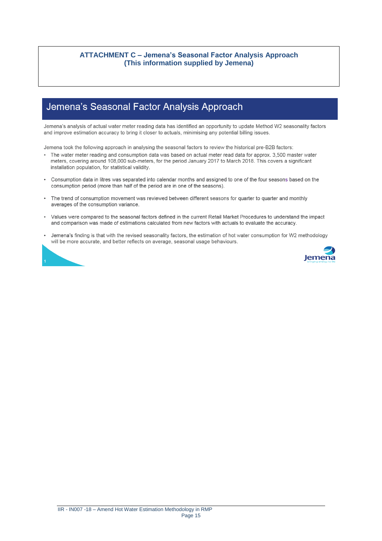## **ATTACHMENT C - Jemena's Seasonal Factor Analysis Approach** (This information supplied by Jemena)

# Jemena's Seasonal Factor Analysis Approach

Jemena's analysis of actual water meter reading data has identified an opportunity to update Method W2 seasonality factors and improve estimation accuracy to bring it closer to actuals, minimising any potential billing issues.

Jemena took the following approach in analysing the seasonal factors to review the historical pre-B2B factors:

- The water meter reading and consumption data was based on actual meter read data for approx. 3,500 master water meters, covering around 108,000 sub-meters, for the period January 2017 to March 2018. This covers a significant installation population, for statistical validity.
- Consumption data in litres was separated into calendar months and assigned to one of the four seasons based on the consumption period (more than half of the period are in one of the seasons).
- The trend of consumption movement was reviewed between different seasons for quarter to quarter and monthly averages of the consumption variance.
- Values were compared to the seasonal factors defined in the current Retail Market Procedures to understand the impact  $\bullet$ and comparison was made of estimations calculated from new factors with actuals to evaluate the accuracy.
- $\bullet$ Jemena's finding is that with the revised seasonality factors, the estimation of hot water consumption for W2 methodology will be more accurate, and better reflects on average, seasonal usage behaviours.



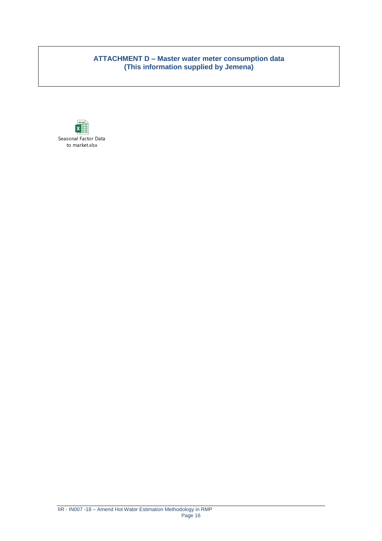## **ATTACHMENT D – Master water meter consumption data (This information supplied by Jemena)**

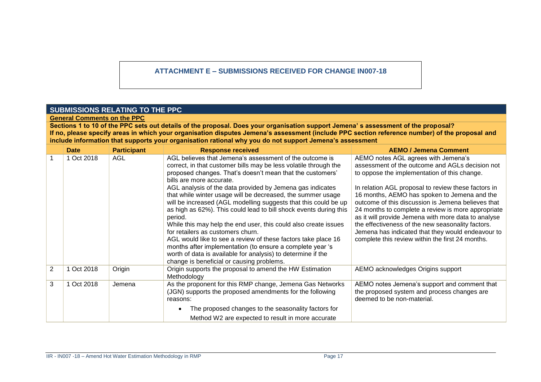## **ATTACHMENT E – SUBMISSIONS RECEIVED FOR CHANGE IN007-18**

## **SUBMISSIONS RELATING TO THE PPC**

**General Comments on the PPC**

**Sections 1 to 10 of the PPC sets out details of the proposal. Does your organisation support Jemena' s assessment of the proposal? If no, please specify areas in which your organisation disputes Jemena's assessment (include PPC section reference number) of the proposal and include information that supports your organisation rational why you do not support Jemena's assessment**

|                | <b>Date</b> | <b>Participant</b> | <b>Response received</b>                                                                                                                                                                                                                                                                                                                                                                                                                                                                                                                                                                                                                                                                                                                                                                                                                               | <b>AEMO / Jemena Comment</b>                                                                                                                                                                                                                                                                                                                                                                                                                                                                                                                                                   |
|----------------|-------------|--------------------|--------------------------------------------------------------------------------------------------------------------------------------------------------------------------------------------------------------------------------------------------------------------------------------------------------------------------------------------------------------------------------------------------------------------------------------------------------------------------------------------------------------------------------------------------------------------------------------------------------------------------------------------------------------------------------------------------------------------------------------------------------------------------------------------------------------------------------------------------------|--------------------------------------------------------------------------------------------------------------------------------------------------------------------------------------------------------------------------------------------------------------------------------------------------------------------------------------------------------------------------------------------------------------------------------------------------------------------------------------------------------------------------------------------------------------------------------|
|                | 1 Oct 2018  | AGL                | AGL believes that Jemena's assessment of the outcome is<br>correct, in that customer bills may be less volatile through the<br>proposed changes. That's doesn't mean that the customers'<br>bills are more accurate.<br>AGL analysis of the data provided by Jemena gas indicates<br>that while winter usage will be decreased, the summer usage<br>will be increased (AGL modelling suggests that this could be up<br>as high as 62%). This could lead to bill shock events during this<br>period.<br>While this may help the end user, this could also create issues<br>for retailers as customers churn.<br>AGL would like to see a review of these factors take place 16<br>months after implementation (to ensure a complete year 's<br>worth of data is available for analysis) to determine if the<br>change is beneficial or causing problems. | AEMO notes AGL agrees with Jemena's<br>assessment of the outcome and AGLs decision not<br>to oppose the implementation of this change.<br>In relation AGL proposal to review these factors in<br>16 months, AEMO has spoken to Jemena and the<br>outcome of this discussion is Jemena believes that<br>24 months to complete a review is more appropriate<br>as it will provide Jemena with more data to analyse<br>the effectiveness of the new seasonality factors.<br>Jemena has indicated that they would endeavour to<br>complete this review within the first 24 months. |
| $\overline{2}$ | 1 Oct 2018  | Origin             | Origin supports the proposal to amend the HW Estimation<br>Methodology                                                                                                                                                                                                                                                                                                                                                                                                                                                                                                                                                                                                                                                                                                                                                                                 | AEMO acknowledges Origins support                                                                                                                                                                                                                                                                                                                                                                                                                                                                                                                                              |
| 3              | 1 Oct 2018  | Jemena             | As the proponent for this RMP change, Jemena Gas Networks<br>(JGN) supports the proposed amendments for the following<br>reasons:                                                                                                                                                                                                                                                                                                                                                                                                                                                                                                                                                                                                                                                                                                                      | AEMO notes Jemena's support and comment that<br>the proposed system and process changes are<br>deemed to be non-material.                                                                                                                                                                                                                                                                                                                                                                                                                                                      |
|                |             |                    | The proposed changes to the seasonality factors for                                                                                                                                                                                                                                                                                                                                                                                                                                                                                                                                                                                                                                                                                                                                                                                                    |                                                                                                                                                                                                                                                                                                                                                                                                                                                                                                                                                                                |
|                |             |                    | Method W2 are expected to result in more accurate                                                                                                                                                                                                                                                                                                                                                                                                                                                                                                                                                                                                                                                                                                                                                                                                      |                                                                                                                                                                                                                                                                                                                                                                                                                                                                                                                                                                                |